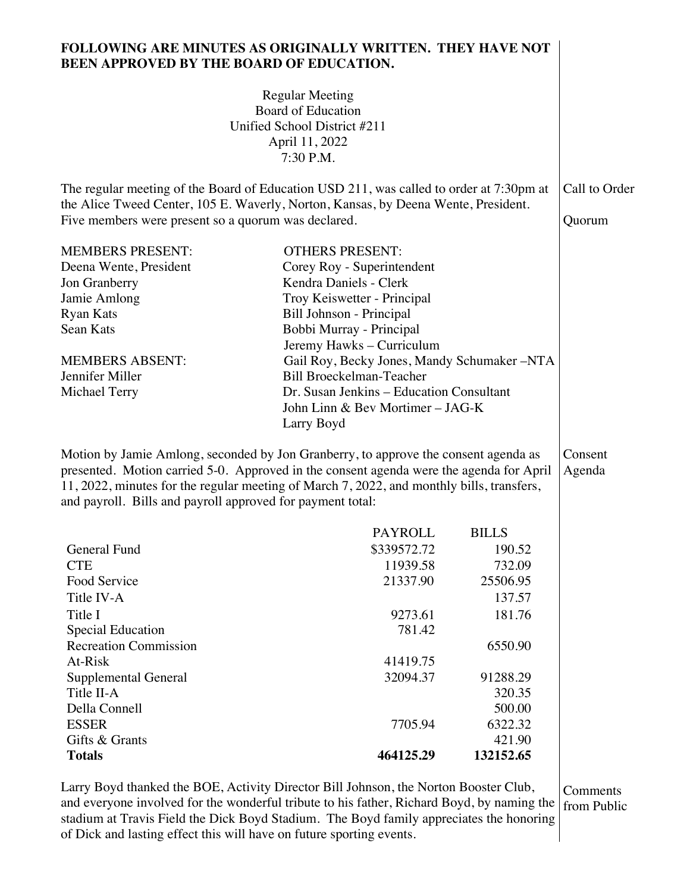## **FOLLOWING ARE MINUTES AS ORIGINALLY WRITTEN. THEY HAVE NOT BEEN APPROVED BY THE BOARD OF EDUCATION.**

Regular Meeting Board of Education Unified School District #211 April 11, 2022

|                                                                                                                                                                                                                                      | 7:30 P.M.                                                                                                                                                                                                                                                                   |                                             |                         |  |
|--------------------------------------------------------------------------------------------------------------------------------------------------------------------------------------------------------------------------------------|-----------------------------------------------------------------------------------------------------------------------------------------------------------------------------------------------------------------------------------------------------------------------------|---------------------------------------------|-------------------------|--|
| The regular meeting of the Board of Education USD 211, was called to order at 7:30pm at<br>the Alice Tweed Center, 105 E. Waverly, Norton, Kansas, by Deena Wente, President.<br>Five members were present so a quorum was declared. |                                                                                                                                                                                                                                                                             |                                             | Call to Order<br>Quorum |  |
| <b>MEMBERS PRESENT:</b>                                                                                                                                                                                                              | <b>OTHERS PRESENT:</b>                                                                                                                                                                                                                                                      |                                             |                         |  |
| Deena Wente, President                                                                                                                                                                                                               | Corey Roy - Superintendent                                                                                                                                                                                                                                                  |                                             |                         |  |
| Jon Granberry                                                                                                                                                                                                                        | Kendra Daniels - Clerk                                                                                                                                                                                                                                                      |                                             |                         |  |
| Jamie Amlong                                                                                                                                                                                                                         | Troy Keiswetter - Principal                                                                                                                                                                                                                                                 |                                             |                         |  |
| <b>Ryan Kats</b>                                                                                                                                                                                                                     | Bill Johnson - Principal                                                                                                                                                                                                                                                    |                                             |                         |  |
| Sean Kats                                                                                                                                                                                                                            | Bobbi Murray - Principal                                                                                                                                                                                                                                                    |                                             |                         |  |
|                                                                                                                                                                                                                                      | Jeremy Hawks - Curriculum                                                                                                                                                                                                                                                   |                                             |                         |  |
| <b>MEMBERS ABSENT:</b>                                                                                                                                                                                                               |                                                                                                                                                                                                                                                                             | Gail Roy, Becky Jones, Mandy Schumaker -NTA |                         |  |
| Jennifer Miller                                                                                                                                                                                                                      | <b>Bill Broeckelman-Teacher</b>                                                                                                                                                                                                                                             |                                             |                         |  |
| <b>Michael Terry</b>                                                                                                                                                                                                                 | Dr. Susan Jenkins - Education Consultant                                                                                                                                                                                                                                    |                                             |                         |  |
|                                                                                                                                                                                                                                      | John Linn & Bev Mortimer - JAG-K                                                                                                                                                                                                                                            |                                             |                         |  |
|                                                                                                                                                                                                                                      | Larry Boyd                                                                                                                                                                                                                                                                  |                                             |                         |  |
| and payroll. Bills and payroll approved for payment total:                                                                                                                                                                           | Motion by Jamie Amlong, seconded by Jon Granberry, to approve the consent agenda as<br>presented. Motion carried 5-0. Approved in the consent agenda were the agenda for April<br>11, 2022, minutes for the regular meeting of March 7, 2022, and monthly bills, transfers, |                                             | Consent<br>Agenda       |  |
|                                                                                                                                                                                                                                      | <b>PAYROLL</b>                                                                                                                                                                                                                                                              | <b>BILLS</b>                                |                         |  |
| General Fund                                                                                                                                                                                                                         | \$339572.72                                                                                                                                                                                                                                                                 | 190.52                                      |                         |  |
| <b>CTE</b>                                                                                                                                                                                                                           | 11939.58                                                                                                                                                                                                                                                                    | 732.09                                      |                         |  |
| Food Service                                                                                                                                                                                                                         | 21337.90                                                                                                                                                                                                                                                                    | 25506.95                                    |                         |  |
| Title IV-A                                                                                                                                                                                                                           |                                                                                                                                                                                                                                                                             | 137.57                                      |                         |  |
| Title I                                                                                                                                                                                                                              | 9273.61                                                                                                                                                                                                                                                                     | 181.76                                      |                         |  |
| <b>Special Education</b>                                                                                                                                                                                                             | 781.42                                                                                                                                                                                                                                                                      |                                             |                         |  |
| <b>Recreation Commission</b>                                                                                                                                                                                                         |                                                                                                                                                                                                                                                                             | 6550.90                                     |                         |  |
| At-Risk                                                                                                                                                                                                                              | 41419.75                                                                                                                                                                                                                                                                    |                                             |                         |  |
| Supplemental General                                                                                                                                                                                                                 | 32094.37                                                                                                                                                                                                                                                                    | 91288.29                                    |                         |  |
| Title II-A                                                                                                                                                                                                                           |                                                                                                                                                                                                                                                                             | 320.35                                      |                         |  |
| Della Connell                                                                                                                                                                                                                        |                                                                                                                                                                                                                                                                             | 500.00                                      |                         |  |
| <b>ESSER</b>                                                                                                                                                                                                                         | 7705.94                                                                                                                                                                                                                                                                     | 6322.32                                     |                         |  |
| Gifts & Grants                                                                                                                                                                                                                       |                                                                                                                                                                                                                                                                             | 421.90                                      |                         |  |
| <b>Totals</b>                                                                                                                                                                                                                        | 464125.29                                                                                                                                                                                                                                                                   | 132152.65                                   |                         |  |
|                                                                                                                                                                                                                                      |                                                                                                                                                                                                                                                                             |                                             |                         |  |

Larry Boyd thanked the BOE, Activity Director Bill Johnson, the Norton Booster Club, and everyone involved for the wonderful tribute to his father, Richard Boyd, by naming the stadium at Travis Field the Dick Boyd Stadium. The Boyd family appreciates the honoring of Dick and lasting effect this will have on future sporting events.

Comments from Public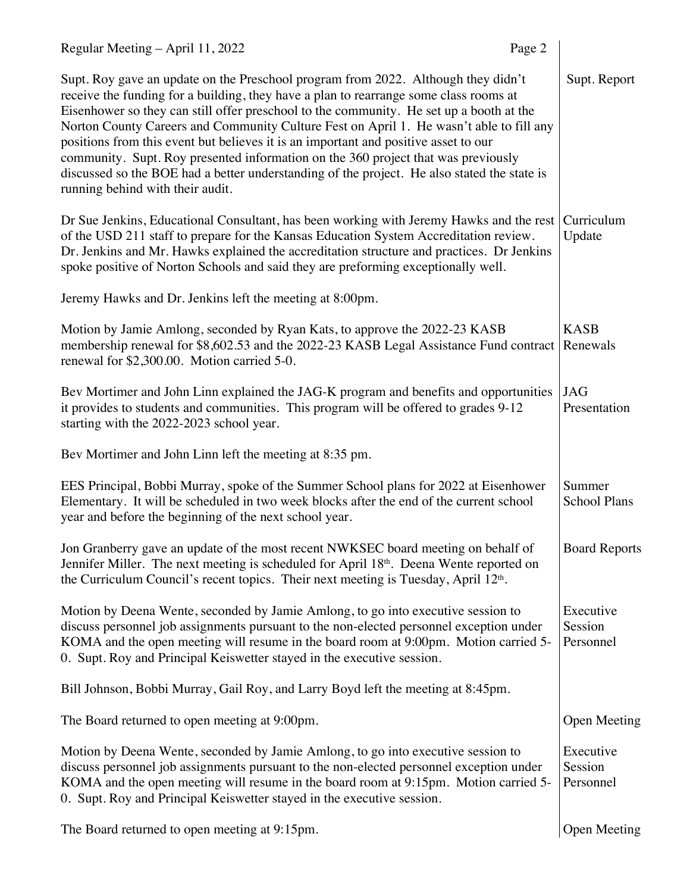| Regular Meeting - April 11, 2022                                                                                                                                                                                                                                                                                                                                                                                                                                                                                                                                                                                                                                                | Page 2 |                                   |
|---------------------------------------------------------------------------------------------------------------------------------------------------------------------------------------------------------------------------------------------------------------------------------------------------------------------------------------------------------------------------------------------------------------------------------------------------------------------------------------------------------------------------------------------------------------------------------------------------------------------------------------------------------------------------------|--------|-----------------------------------|
| Supt. Roy gave an update on the Preschool program from 2022. Although they didn't<br>receive the funding for a building, they have a plan to rearrange some class rooms at<br>Eisenhower so they can still offer preschool to the community. He set up a booth at the<br>Norton County Careers and Community Culture Fest on April 1. He wasn't able to fill any<br>positions from this event but believes it is an important and positive asset to our<br>community. Supt. Roy presented information on the 360 project that was previously<br>discussed so the BOE had a better understanding of the project. He also stated the state is<br>running behind with their audit. |        | Supt. Report                      |
| Dr Sue Jenkins, Educational Consultant, has been working with Jeremy Hawks and the rest<br>of the USD 211 staff to prepare for the Kansas Education System Accreditation review.<br>Dr. Jenkins and Mr. Hawks explained the accreditation structure and practices. Dr Jenkins<br>spoke positive of Norton Schools and said they are preforming exceptionally well.                                                                                                                                                                                                                                                                                                              |        | Curriculum<br>Update              |
| Jeremy Hawks and Dr. Jenkins left the meeting at 8:00pm.                                                                                                                                                                                                                                                                                                                                                                                                                                                                                                                                                                                                                        |        |                                   |
| Motion by Jamie Amlong, seconded by Ryan Kats, to approve the 2022-23 KASB<br>membership renewal for \$8,602.53 and the 2022-23 KASB Legal Assistance Fund contract<br>renewal for \$2,300.00. Motion carried 5-0.                                                                                                                                                                                                                                                                                                                                                                                                                                                              |        | <b>KASB</b><br>Renewals           |
| Bev Mortimer and John Linn explained the JAG-K program and benefits and opportunities<br>it provides to students and communities. This program will be offered to grades 9-12<br>starting with the 2022-2023 school year.                                                                                                                                                                                                                                                                                                                                                                                                                                                       |        | <b>JAG</b><br>Presentation        |
| Bev Mortimer and John Linn left the meeting at 8:35 pm.                                                                                                                                                                                                                                                                                                                                                                                                                                                                                                                                                                                                                         |        |                                   |
| EES Principal, Bobbi Murray, spoke of the Summer School plans for 2022 at Eisenhower<br>Elementary. It will be scheduled in two week blocks after the end of the current school<br>year and before the beginning of the next school year.                                                                                                                                                                                                                                                                                                                                                                                                                                       |        | Summer<br><b>School Plans</b>     |
| Jon Granberry gave an update of the most recent NWKSEC board meeting on behalf of<br>Jennifer Miller. The next meeting is scheduled for April 18 <sup>th</sup> . Deena Wente reported on<br>the Curriculum Council's recent topics. Their next meeting is Tuesday, April 12 <sup>th</sup> .                                                                                                                                                                                                                                                                                                                                                                                     |        | <b>Board Reports</b>              |
| Motion by Deena Wente, seconded by Jamie Amlong, to go into executive session to<br>discuss personnel job assignments pursuant to the non-elected personnel exception under<br>KOMA and the open meeting will resume in the board room at 9:00pm. Motion carried 5-<br>0. Supt. Roy and Principal Keiswetter stayed in the executive session.                                                                                                                                                                                                                                                                                                                                   |        | Executive<br>Session<br>Personnel |
| Bill Johnson, Bobbi Murray, Gail Roy, and Larry Boyd left the meeting at 8:45pm.                                                                                                                                                                                                                                                                                                                                                                                                                                                                                                                                                                                                |        |                                   |
| The Board returned to open meeting at 9:00pm.                                                                                                                                                                                                                                                                                                                                                                                                                                                                                                                                                                                                                                   |        | <b>Open Meeting</b>               |
| Motion by Deena Wente, seconded by Jamie Amlong, to go into executive session to<br>discuss personnel job assignments pursuant to the non-elected personnel exception under<br>KOMA and the open meeting will resume in the board room at 9:15pm. Motion carried 5-<br>0. Supt. Roy and Principal Keiswetter stayed in the executive session.                                                                                                                                                                                                                                                                                                                                   |        | Executive<br>Session<br>Personnel |
| The Board returned to open meeting at 9:15pm.                                                                                                                                                                                                                                                                                                                                                                                                                                                                                                                                                                                                                                   |        | <b>Open Meeting</b>               |